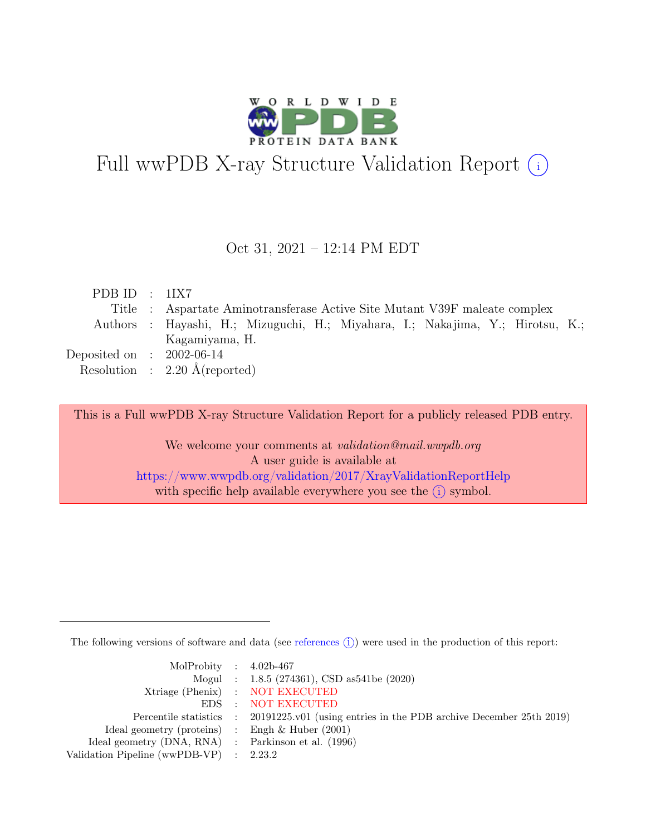

# Full wwPDB X-ray Structure Validation Report  $(i)$

#### Oct 31, 2021 – 12:14 PM EDT

| PDB ID : $1IX7$             |                                                                               |
|-----------------------------|-------------------------------------------------------------------------------|
|                             | Title : Aspartate Aminotransferase Active Site Mutant V39F maleate complex    |
|                             | Authors: Hayashi, H.; Mizuguchi, H.; Miyahara, I.; Nakajima, Y.; Hirotsu, K.; |
|                             | Kagamiyama, H.                                                                |
| Deposited on : $2002-06-14$ |                                                                               |
|                             | Resolution : $2.20 \text{ Å}$ (reported)                                      |

This is a Full wwPDB X-ray Structure Validation Report for a publicly released PDB entry.

We welcome your comments at *validation@mail.wwpdb.org* A user guide is available at <https://www.wwpdb.org/validation/2017/XrayValidationReportHelp> with specific help available everywhere you see the  $(i)$  symbol.

The following versions of software and data (see [references](https://www.wwpdb.org/validation/2017/XrayValidationReportHelp#references)  $\hat{I}$ ) were used in the production of this report:

| MolProbity : $4.02b-467$                            |                                                                                            |
|-----------------------------------------------------|--------------------------------------------------------------------------------------------|
|                                                     | Mogul : $1.8.5$ (274361), CSD as 541be (2020)                                              |
|                                                     | Xtriage (Phenix) : NOT EXECUTED                                                            |
|                                                     | EDS : NOT EXECUTED                                                                         |
|                                                     | Percentile statistics : 20191225.v01 (using entries in the PDB archive December 25th 2019) |
| Ideal geometry (proteins) : Engh $\&$ Huber (2001)  |                                                                                            |
| Ideal geometry (DNA, RNA) : Parkinson et al. (1996) |                                                                                            |
| Validation Pipeline (wwPDB-VP) : $2.23.2$           |                                                                                            |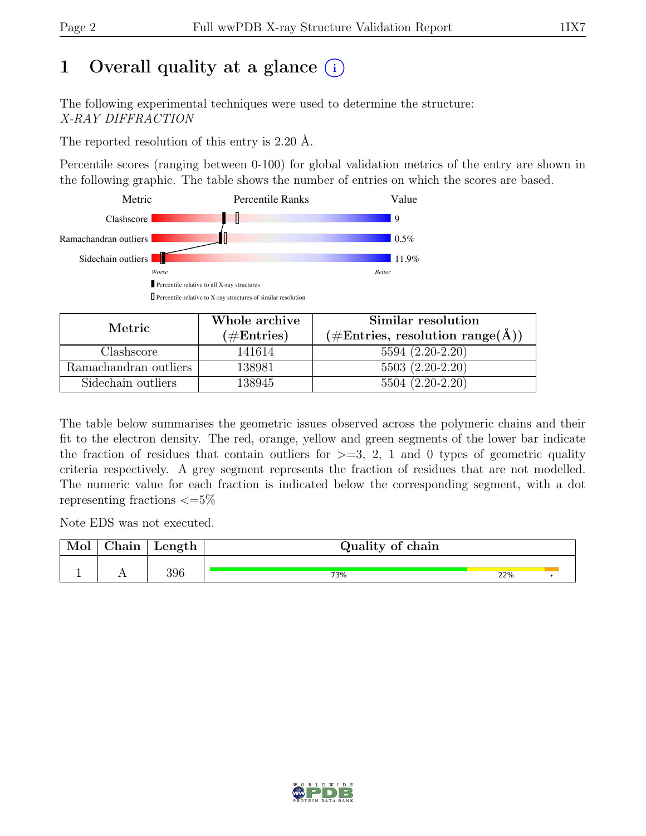# 1 Overall quality at a glance  $(i)$

The following experimental techniques were used to determine the structure: X-RAY DIFFRACTION

The reported resolution of this entry is 2.20 Å.

Percentile scores (ranging between 0-100) for global validation metrics of the entry are shown in the following graphic. The table shows the number of entries on which the scores are based.



| Metric                | Whole archive<br>$(\#\text{Entries})$ | Similar resolution<br>$(\#\text{Entries}, \, \text{resolution range}(\textup{\AA}))$ |
|-----------------------|---------------------------------------|--------------------------------------------------------------------------------------|
| Clashscore            | 141614                                | $5594(2.20-2.20)$                                                                    |
| Ramachandran outliers | 138981                                | $5503(2.20-2.20)$                                                                    |
| Sidechain outliers    | 138945                                | $5504(2.20-2.20)$                                                                    |

The table below summarises the geometric issues observed across the polymeric chains and their fit to the electron density. The red, orange, yellow and green segments of the lower bar indicate the fraction of residues that contain outliers for  $\geq=3$ , 2, 1 and 0 types of geometric quality criteria respectively. A grey segment represents the fraction of residues that are not modelled. The numeric value for each fraction is indicated below the corresponding segment, with a dot representing fractions  $\epsilon = 5\%$ 

Note EDS was not executed.

| Chain | Length | Quality of chain |     |  |
|-------|--------|------------------|-----|--|
|       | 396    | 73%              | 22% |  |

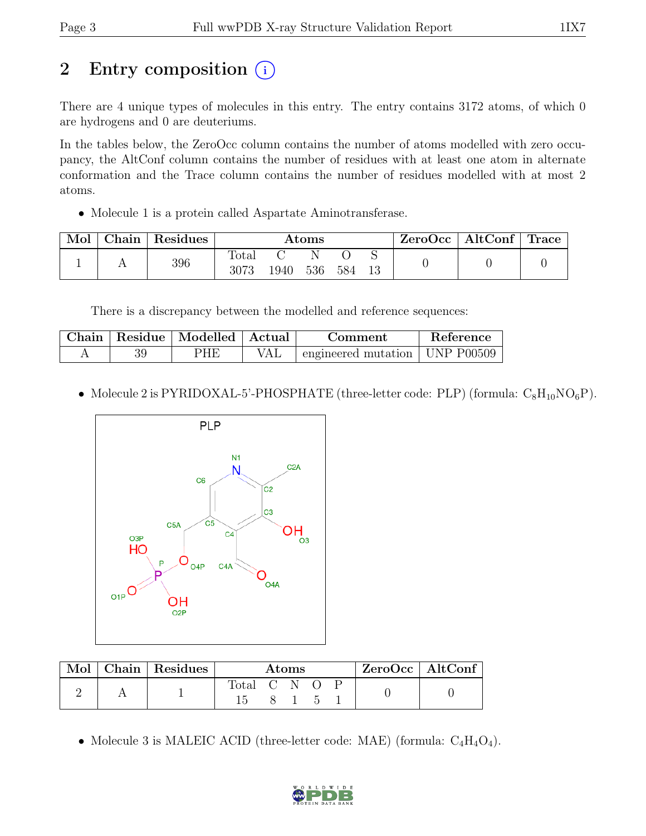# 2 Entry composition  $(i)$

There are 4 unique types of molecules in this entry. The entry contains 3172 atoms, of which 0 are hydrogens and 0 are deuteriums.

In the tables below, the ZeroOcc column contains the number of atoms modelled with zero occupancy, the AltConf column contains the number of residues with at least one atom in alternate conformation and the Trace column contains the number of residues modelled with at most 2 atoms.

• Molecule 1 is a protein called Aspartate Aminotransferase.

| Mol | ${\bf Chain}$ | Residues | Atoms         |       |     |     | ZeroOcc | $\mid$ AltConf $\mid$ Trace |  |  |
|-----|---------------|----------|---------------|-------|-----|-----|---------|-----------------------------|--|--|
|     |               | 396      | Total<br>3073 | 1940- | 536 | 584 | 13      |                             |  |  |

There is a discrepancy between the modelled and reference sequences:

| Chain | Residue   Modelled   Actual | Comment                                    | Reference |
|-------|-----------------------------|--------------------------------------------|-----------|
|       | PHE                         | $\pm$ engineered mutation $\pm$ UNP P00509 |           |

• Molecule 2 is PYRIDOXAL-5'-PHOSPHATE (three-letter code: PLP) (formula:  $C_8H_{10}NO_6P$ ).



| $\operatorname{Mol}$ $\vdash$ |  | $Chain$ Residues | Atoms       |  |             |  | ZeroOcc   AltConf |  |  |
|-------------------------------|--|------------------|-------------|--|-------------|--|-------------------|--|--|
|                               |  |                  | Total C N O |  |             |  |                   |  |  |
|                               |  |                  |             |  | $8 \t1 \t5$ |  |                   |  |  |

• Molecule 3 is MALEIC ACID (three-letter code: MAE) (formula:  $C_4H_4O_4$ ).

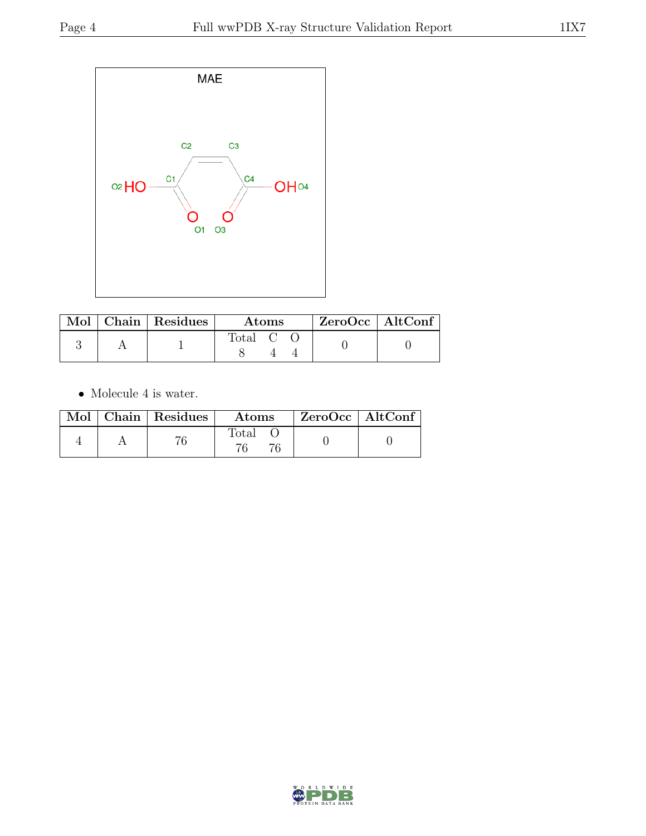

|  | $\mathbf{Mol}$   Chain   Residues | <b>Atoms</b> |  |  | $ZeroOcc \mid AltConf$ |  |
|--|-----------------------------------|--------------|--|--|------------------------|--|
|  |                                   | Total C      |  |  |                        |  |

 $\bullet\,$  Molecule 4 is water.

|  | Mol   Chain   Residues | Atoms          | $ZeroOcc \   \$ AltConf |
|--|------------------------|----------------|-------------------------|
|  |                        | $\text{Total}$ |                         |

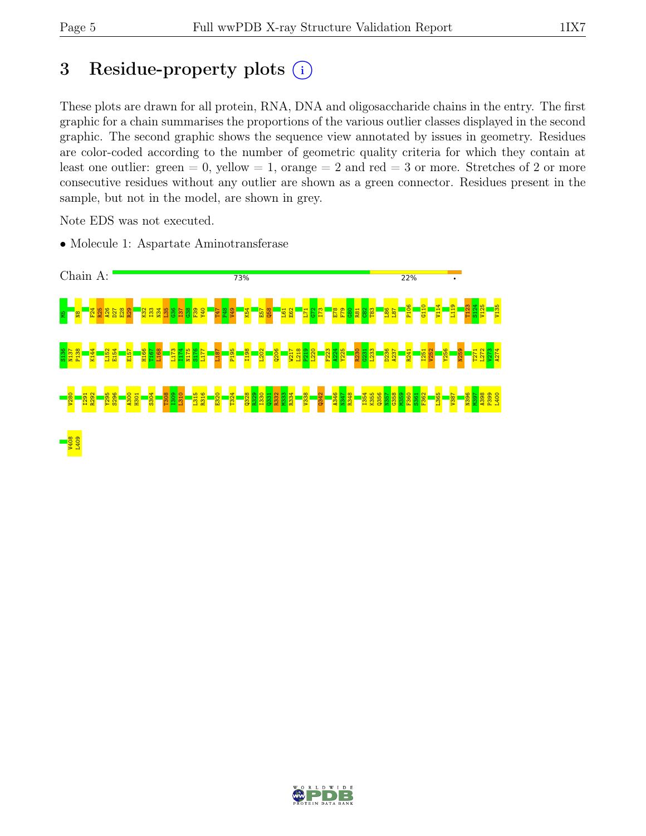# 3 Residue-property plots  $(i)$

These plots are drawn for all protein, RNA, DNA and oligosaccharide chains in the entry. The first graphic for a chain summarises the proportions of the various outlier classes displayed in the second graphic. The second graphic shows the sequence view annotated by issues in geometry. Residues are color-coded according to the number of geometric quality criteria for which they contain at least one outlier: green  $= 0$ , yellow  $= 1$ , orange  $= 2$  and red  $= 3$  or more. Stretches of 2 or more consecutive residues without any outlier are shown as a green connector. Residues present in the sample, but not in the model, are shown in grey.

Note EDS was not executed.

• Molecule 1: Aspartate Aminotransferase



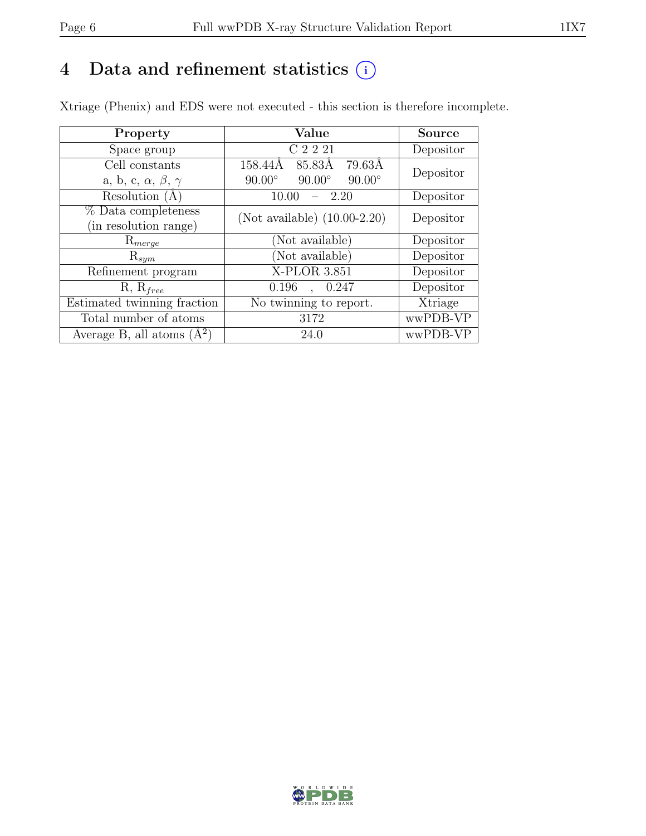# 4 Data and refinement statistics  $(i)$

Xtriage (Phenix) and EDS were not executed - this section is therefore incomplete.

| Property                               | Value                                           | <b>Source</b> |  |
|----------------------------------------|-------------------------------------------------|---------------|--|
| Space group                            | C 2 2 21                                        | Depositor     |  |
| Cell constants                         | 79.63Å<br>158.44Å<br>85.83Å                     | Depositor     |  |
| a, b, c, $\alpha$ , $\beta$ , $\gamma$ | $90.00^\circ$<br>$90.00^\circ$<br>$90.00^\circ$ |               |  |
| Resolution $(A)$                       | 2.20<br>10.00                                   | Depositor     |  |
| $%$ Data completeness                  | (Not available) $(10.00-2.20)$                  | Depositor     |  |
| (in resolution range)                  |                                                 |               |  |
| $\mathrm{R}_{merge}$                   | (Not available)                                 | Depositor     |  |
| $\mathrm{R}_{sym}$                     | (Not available)                                 | Depositor     |  |
| Refinement program                     | X-PLOR 3.851                                    | Depositor     |  |
| $R, R_{free}$                          | 0.196<br>, 0.247                                | Depositor     |  |
| Estimated twinning fraction            | No twinning to report.                          | Xtriage       |  |
| Total number of atoms                  | 3172                                            | wwPDB-VP      |  |
| Average B, all atoms $(A^2)$           | 24.0                                            | wwPDB-VP      |  |

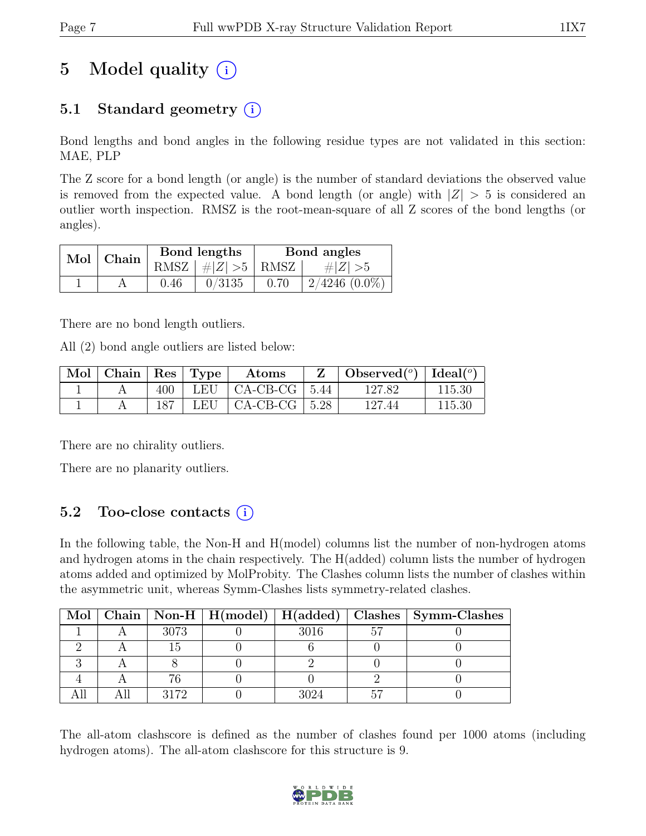# 5 Model quality  $(i)$

# 5.1 Standard geometry  $(i)$

Bond lengths and bond angles in the following residue types are not validated in this section: MAE, PLP

The Z score for a bond length (or angle) is the number of standard deviations the observed value is removed from the expected value. A bond length (or angle) with  $|Z| > 5$  is considered an outlier worth inspection. RMSZ is the root-mean-square of all Z scores of the bond lengths (or angles).

| Mol   Chain |      | Bond lengths                 | Bond angles |                 |  |
|-------------|------|------------------------------|-------------|-----------------|--|
|             |      | RMSZ $\mid \#Z \mid >5$ RMSZ |             | # $ Z  > 5$     |  |
|             | 0.46 | 0/3135                       | 0.70        | $2/4246$ (0.0%) |  |

There are no bond length outliers.

All (2) bond angle outliers are listed below:

| $\operatorname{Mol}$ | $\vert$ Chain   Res   Type |     | $\boldsymbol{\mathrm{Atoms}}$          | $\perp$ Observed( <sup>o</sup> )   Ideal( <sup>o</sup> ) |        |
|----------------------|----------------------------|-----|----------------------------------------|----------------------------------------------------------|--------|
|                      |                            | 400 | $\mid$ LEU $\mid$ CA-CB-CG $\mid$ 5.44 | 127.82                                                   | 115.30 |
|                      |                            | 187 | LEU $\vert$ CA-CB-CG $\vert$ 5.28      | 127.44                                                   | 115.30 |

There are no chirality outliers.

There are no planarity outliers.

## 5.2 Too-close contacts  $(i)$

In the following table, the Non-H and H(model) columns list the number of non-hydrogen atoms and hydrogen atoms in the chain respectively. The H(added) column lists the number of hydrogen atoms added and optimized by MolProbity. The Clashes column lists the number of clashes within the asymmetric unit, whereas Symm-Clashes lists symmetry-related clashes.

|  |      |      |    | Mol   Chain   Non-H   H(model)   H(added)   Clashes   Symm-Clashes |
|--|------|------|----|--------------------------------------------------------------------|
|  | 3073 | 3016 | ٢, |                                                                    |
|  |      |      |    |                                                                    |
|  |      |      |    |                                                                    |
|  |      |      |    |                                                                    |
|  | 3179 |      |    |                                                                    |

The all-atom clashscore is defined as the number of clashes found per 1000 atoms (including hydrogen atoms). The all-atom clashscore for this structure is 9.

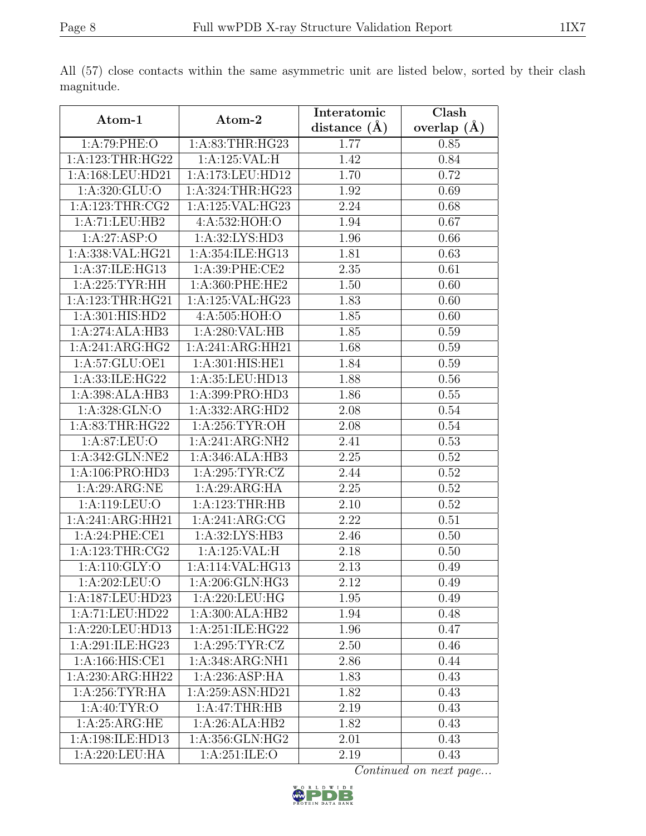|                     |                                     | Interatomic      | $\overline{\text{Clash}}$ |  |
|---------------------|-------------------------------------|------------------|---------------------------|--|
| Atom-1              | Atom-2                              | distance $(\AA)$ | overlap $(A)$             |  |
| 1:A:79:PHE:O        | 1: A:83:THR:HG23                    | 1.77             | 0.85                      |  |
| 1:A:123:THR:HG22    | 1:A:125:VAL:H                       | 1.42             | 0.84                      |  |
| 1:A:168:LEU:HD21    | 1:A:173:LEU:HD12                    | 1.70             | 0.72                      |  |
| 1: A:320: GLU:O     | $1:\overline{A:324:THR:HG23}$       | 1.92             | 0.69                      |  |
| 1: A: 123: THR: CG2 | 1:A:125:VAL:HG23                    | 2.24             | 0.68                      |  |
| 1:A:71:LEU:HB2      | 4:A:532:HOH:O                       | 1.94             | 0.67                      |  |
| 1:A:27:ASP:O        | 1:A:32:LYS:HD3                      | 1.96             | 0.66                      |  |
| 1:A:338:VAL:HG21    | 1:A:354:ILE:HG13                    | 1.81             | 0.63                      |  |
| 1:A:37:ILE:HG13     | 1:A:39:PHE:CE2                      | 2.35             | 0.61                      |  |
| 1: A:225:TYR:HH     | 1:A:360:PHE:HE2                     | 1.50             | 0.60                      |  |
| 1:A:123:THR:HG21    | 1:A:125:VAL:HG23                    | 1.83             | 0.60                      |  |
| 1:A:301:HIS:HD2     | 4:A:505:HOH:O                       | 1.85             | 0.60                      |  |
| 1:A:274:ALA:HB3     | 1:A:280:VAL:HB                      | 1.85             | 0.59                      |  |
| 1:A:241:ARG:HG2     | 1:A:241:ARG:HH21                    | 1.68             | 0.59                      |  |
| 1: A:57: GLU:OE1    | 1:A:301:HIS:HE1                     | 1.84             | 0.59                      |  |
| 1:A:33:ILE:HG22     | 1:A:35:LEU:HD13                     | 1.88             | 0.56                      |  |
| 1:A:398:ALA:HB3     | 1:A:399:PRO:HD3                     | 1.86             | 0.55                      |  |
| 1:A:328:GLN:O       | 1:A:332:ARG:HD2                     | 2.08             | 0.54                      |  |
| 1: A:83:THR:HG22    | 1:A:256:TYR:OH                      | 2.08             | 0.54                      |  |
| 1: A:87: LEU:O      | 1:A:241:ARG:NH2                     | 2.41             | 0.53                      |  |
| 1:A:342:GLN:NE2     | 1:A:346:ALA:HB3                     | 2.25             | 0.52                      |  |
| 1:A:106:PRO:HD3     | 1: A:295: TYR: CZ                   | 2.44             | 0.52                      |  |
| 1:A:29:ARG:NE       | 1:A:29:ARG:HA                       | 2.25             | 0.52                      |  |
| 1:A:119:LEU:O       | 1:A:123:THR:HB                      | 2.10             | 0.52                      |  |
| 1:A:241:ARG:HH21    | 1:A:241:ARG:CG                      | 2.22             | 0.51                      |  |
| 1:A:24:PHE:CE1      | 1:A:32:LYS:HB3                      | 2.46             | 0.50                      |  |
| 1:A:123:THR:CG2     | $1:A:125:\overline{\mathsf{VAL}:H}$ | 2.18             | 0.50                      |  |
| 1:A:110:GLY:O       | 1:A:114:VAL:HG13                    | 2.13             | 0.49                      |  |
| 1:A:202:LEU:O       | 1:A:206:GLN:HG3                     | 2.12             | 0.49                      |  |
| 1:A:187:LEU:HD23    | 1:A:220:LEU:HG                      | 1.95             | 0.49                      |  |
| 1:A:71:LEU:HD22     | 1:A:300:ALA:HB2                     | 1.94             | 0.48                      |  |
| 1:A:220:LEU:HD13    | 1:A:251:ILE:HG22                    | 1.96             | 0.47                      |  |
| 1:A:291:ILE:HG23    | 1: A:295: TYR: CZ                   | 2.50             | 0.46                      |  |
| 1:A:166:HIS:CE1     | 1:A:348:ARG:NH1                     | 2.86             | 0.44                      |  |
| 1:A:230:ARG:HH22    | 1:A:236:ASP:HA                      | 1.83             | 0.43                      |  |
| 1: A:256:TYR:HA     | 1:A:259:ASN:HD21                    | 1.82             | 0.43                      |  |
| 1:A:40:TYR:O        | 1:A:47:THR:HB                       | $2.19\,$         | 0.43                      |  |
| 1: A:25: ARG:HE     | 1:A:26:ALA:HB2                      | 1.82             | 0.43                      |  |
| 1:A:198:ILE:HD13    | 1: A: 356: GLN: HG2                 | 2.01             | 0.43                      |  |
| 1:A:220:LEU:HA      | 1: A:251: ILE: O                    | 2.19             | 0.43                      |  |

All (57) close contacts within the same asymmetric unit are listed below, sorted by their clash magnitude.

Continued on next page...

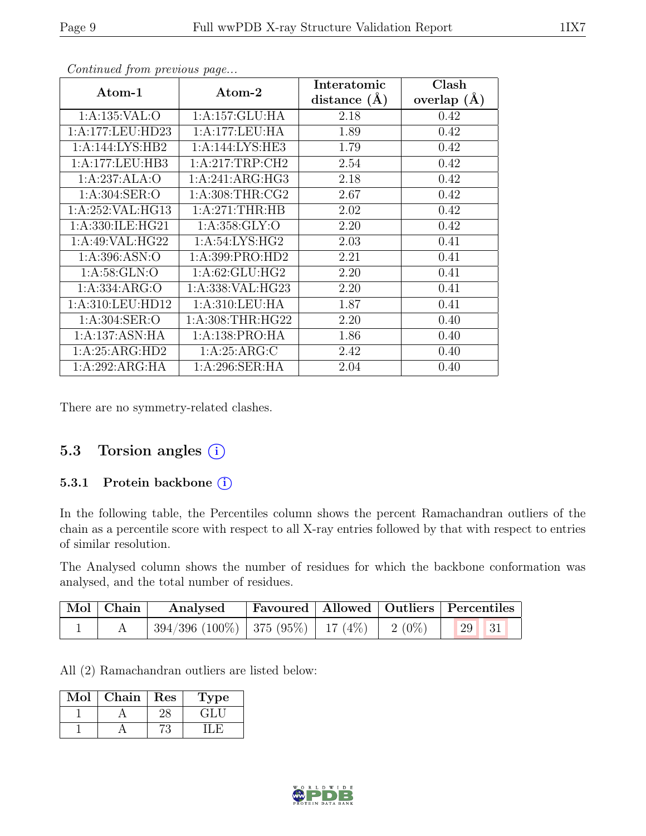| Atom-1             | Atom-2             | Interatomic<br>distance $(\AA)$ | Clash<br>overlap $(\AA)$ |
|--------------------|--------------------|---------------------------------|--------------------------|
| 1:A:135:VAL:O      | 1:A:157:GLU:HA     | 2.18                            | 0.42                     |
| 1:A:177:LEU:HD23   | 1:A:177:LEU:HA     | 1.89                            | 0.42                     |
| 1:A:144:LYS:HB2    | 1:A:144:LYS:HE3    | 1.79                            | 0.42                     |
| 1:A:177:LEU:HB3    | 1:A:217:TRP:CH2    | 2.54                            | 0.42                     |
| 1:A:237:ALA:O      | 1:A:241:ARG:HG3    | 2.18                            | 0.42                     |
| 1: A:304: SER:O    | 1: A:308:THR:CG2   | 2.67                            | 0.42                     |
| 1:A:252:VAL:HG13   | 1:A:271:THR:HB     | 2.02                            | 0.42                     |
| 1:A:330:ILE:HG21   | 1: A: 358: GLY:O   | 2.20                            | 0.42                     |
| 1: A:49: VAL: HG22 | 1:A:54:LYS:HG2     | 2.03                            | 0.41                     |
| 1: A:396: ASN:O    | 1:A:399:PRO:HD2    | 2.21                            | 0.41                     |
| 1: A:58: GLN:O     | 1: A:62: GLU: HG2  | 2.20                            | 0.41                     |
| 1: A: 334: ARG: O  | 1:A:338: VAL: HG23 | 2.20                            | 0.41                     |
| 1:A:310:LEU:HD12   | 1: A:310:LEU:HA    | 1.87                            | 0.41                     |
| 1:A:304:SER:O      | 1: A:308:THR:HG22  | 2.20                            | 0.40                     |
| 1:A:137:ASN:HA     | 1: A: 138: PRO: HA | 1.86                            | 0.40                     |
| 1:A:25:ARG:HD2     | 1: A:25: ARG: C    | 2.42                            | 0.40                     |
| 1:A:292:ARG:HA     | 1:A:296:SER:HA     | 2.04                            | 0.40                     |

Continued from previous page...

There are no symmetry-related clashes.

### 5.3 Torsion angles (i)

#### 5.3.1 Protein backbone (i)

In the following table, the Percentiles column shows the percent Ramachandran outliers of the chain as a percentile score with respect to all X-ray entries followed by that with respect to entries of similar resolution.

The Analysed column shows the number of residues for which the backbone conformation was analysed, and the total number of residues.

| Mol Chain | Analysed                                        |  | Favoured   Allowed   Outliers   Percentiles |            |
|-----------|-------------------------------------------------|--|---------------------------------------------|------------|
|           | $394/396$ (100%)   375 (95%)   17 (4%)   2 (0%) |  | $\vert$ 29 $\vert$                          | $\vert$ 31 |

All (2) Ramachandran outliers are listed below:

| $\sim$ 10] | Chain | Res | ype      |
|------------|-------|-----|----------|
|            |       |     | $\div 1$ |
|            |       |     |          |

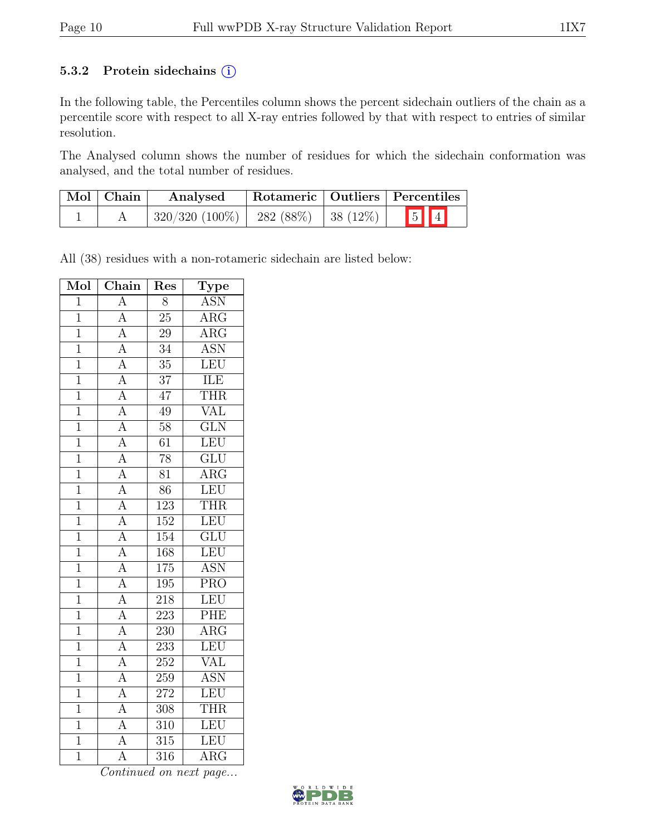#### 5.3.2 Protein sidechains  $(i)$

In the following table, the Percentiles column shows the percent sidechain outliers of the chain as a percentile score with respect to all X-ray entries followed by that with respect to entries of similar resolution.

The Analysed column shows the number of residues for which the sidechain conformation was analysed, and the total number of residues.

| $\mid$ Mol $\mid$ Chain | Rotameric   Outliers   Percentiles<br>Analysed |  |         |  |
|-------------------------|------------------------------------------------|--|---------|--|
|                         | $320/320$ (100%)   282 (88%)   38 (12%)        |  | $5$ $1$ |  |

All (38) residues with a non-rotameric sidechain are listed below:

| Mol            | $\overline{\text{Chain}}$           | Res              | Type                    |
|----------------|-------------------------------------|------------------|-------------------------|
| $\overline{1}$ | $\overline{A}$                      | $\overline{8}$   | <b>ASN</b>              |
| $\overline{1}$ | $\overline{A}$                      | $\overline{25}$  | $\overline{\text{ARG}}$ |
| $\overline{1}$ | $\overline{A}$                      | $\overline{2}9$  | $\overline{\rm{ARG}}$   |
| $\mathbf{1}$   | $\overline{A}$                      | $\overline{34}$  | <b>ASN</b>              |
| $\mathbf{1}$   | $\overline{A}$                      | $\overline{35}$  | LEU                     |
| $\overline{1}$ | $\overline{A}$                      | 37               | ILE                     |
| $\overline{1}$ | $\overline{A}$                      | $\overline{47}$  | <b>THR</b>              |
| $\overline{1}$ | $\overline{A}$                      | 49               | <b>VAL</b>              |
| $\mathbf 1$    | $\overline{A}$                      | 58               | $\overline{\text{GLN}}$ |
| $\mathbf{1}$   | $\overline{A}$                      | $\overline{61}$  | LEU                     |
| $\overline{1}$ | $\frac{\overline{A}}{\overline{A}}$ | $\overline{78}$  | $\overline{\text{GLU}}$ |
| $\overline{1}$ |                                     | $\overline{81}$  | $\overline{\rm{ARG}}$   |
| $\overline{1}$ | $\overline{A}$                      | $\overline{86}$  | LEU                     |
| $\mathbf{1}$   | $\overline{A}$                      | $\overline{123}$ | THR                     |
| $\mathbf{1}$   | $\overline{A}$                      | 152              | LEU                     |
| $\overline{1}$ | $\frac{\overline{A}}{\overline{A}}$ | $\overline{154}$ | $\overline{\text{GLU}}$ |
| $\overline{1}$ |                                     | 168              | LEU                     |
| $\overline{1}$ |                                     | 175              | <b>ASN</b>              |
| $\overline{1}$ | $\overline{A}$                      | 195              | $\overline{\text{PRO}}$ |
| $\overline{1}$ | $\overline{A}$                      | 218              | LEU                     |
| $\overline{1}$ | $\overline{A}$                      | 223              | PHE                     |
| $\overline{1}$ | $\overline{A}$                      | 230              | $\overline{\text{ARG}}$ |
| $\overline{1}$ | $\overline{A}$                      | 233              | LEU                     |
| $\mathbf{1}$   | $\overline{A}$                      | 252              | <b>VAL</b>              |
| $\overline{1}$ | $\overline{\rm A}$                  | 259              | <b>ASN</b>              |
| $\mathbf 1$    | $\overline{A}$                      | $27\overline{2}$ | LEU                     |
| $\overline{1}$ | $\overline{A}$                      | 308              | THR                     |
| $\overline{1}$ | $\overline{A}$                      | 310              | LEU                     |
| $\overline{1}$ | $\overline{\rm A}$                  | $\overline{315}$ | LEU                     |
| $\overline{1}$ | $\overline{\rm A}$                  | 316              | $\overline{\text{ARG}}$ |

Continued on next page...

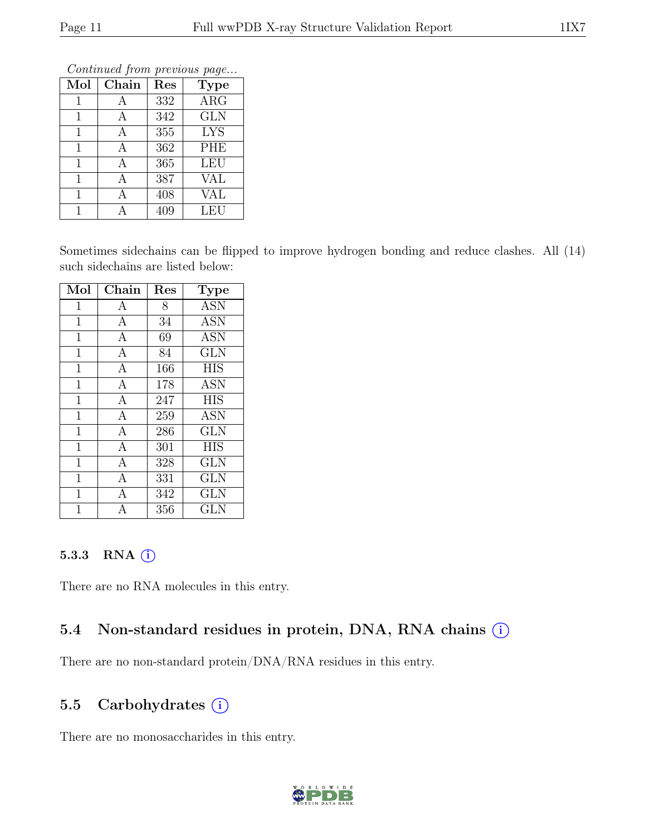| $\sim$ onwenaca prome proviowo pago |       |                  |                         |  |  |  |  |  |  |
|-------------------------------------|-------|------------------|-------------------------|--|--|--|--|--|--|
| Mol                                 | Chain | Res              | <b>Type</b>             |  |  |  |  |  |  |
| $\mathbf{1}$                        | Α     | 332              | <b>ARG</b>              |  |  |  |  |  |  |
| $\mathbf{1}$                        | А     | 342              | <b>GLN</b>              |  |  |  |  |  |  |
| 1                                   | А     | 355              | <b>LYS</b>              |  |  |  |  |  |  |
| $\mathbf{1}$                        | А     | 362              | <b>PHE</b>              |  |  |  |  |  |  |
| 1                                   | А     | $\overline{365}$ | <b>LEU</b>              |  |  |  |  |  |  |
| 1                                   | А     | 387              | VAL                     |  |  |  |  |  |  |
| 1                                   | А     | 408              | $\overline{\text{VAL}}$ |  |  |  |  |  |  |
| 1                                   |       | 409              | LEU                     |  |  |  |  |  |  |

Continued from previous page...

Sometimes sidechains can be flipped to improve hydrogen bonding and reduce clashes. All (14) such sidechains are listed below:

| Mol            | Chain          | Res | <b>Type</b>       |
|----------------|----------------|-----|-------------------|
| $\mathbf{1}$   | A              | 8   | $\overline{A}$ SN |
| $\mathbf{1}$   | $\mathbf{A}$   | 34  | <b>ASN</b>        |
| $\mathbf 1$    | $\mathbf{A}$   | 69  | <b>ASN</b>        |
| $\mathbf{1}$   | $\mathbf{A}$   | 84  | <b>GLN</b>        |
| $\mathbf 1$    | $\mathbf{A}$   | 166 | <b>HIS</b>        |
| $\overline{1}$ | $\mathbf{A}$   | 178 | <b>ASN</b>        |
| $\mathbf 1$    | $\mathbf{A}$   | 247 | <b>HIS</b>        |
| $\overline{1}$ | $\overline{A}$ | 259 | <b>ASN</b>        |
| $\mathbf{1}$   | $\overline{A}$ | 286 | <b>GLN</b>        |
| $\overline{1}$ | $\overline{A}$ | 301 | <b>HIS</b>        |
| $\overline{1}$ | $\mathbf{A}$   | 328 | <b>GLN</b>        |
| 1              | $\overline{A}$ | 331 | <b>GLN</b>        |
| 1              | А              | 342 | <b>GLN</b>        |
| 1              |                | 356 | $_{\rm GLN}$      |

#### 5.3.3 RNA (i)

There are no RNA molecules in this entry.

#### 5.4 Non-standard residues in protein, DNA, RNA chains (i)

There are no non-standard protein/DNA/RNA residues in this entry.

### 5.5 Carbohydrates (i)

There are no monosaccharides in this entry.

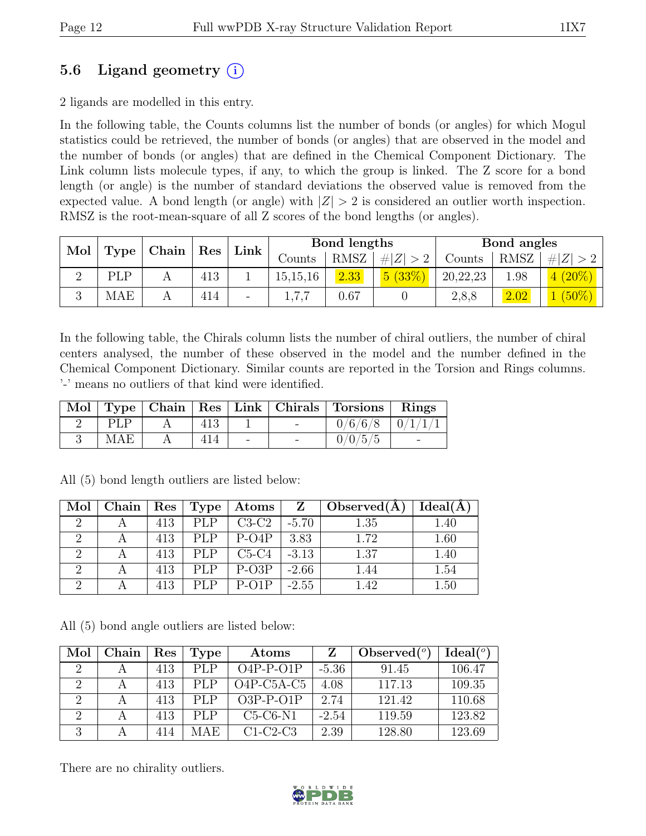## 5.6 Ligand geometry  $(i)$

2 ligands are modelled in this entry.

In the following table, the Counts columns list the number of bonds (or angles) for which Mogul statistics could be retrieved, the number of bonds (or angles) that are observed in the model and the number of bonds (or angles) that are defined in the Chemical Component Dictionary. The Link column lists molecule types, if any, to which the group is linked. The Z score for a bond length (or angle) is the number of standard deviations the observed value is removed from the expected value. A bond length (or angle) with  $|Z| > 2$  is considered an outlier worth inspection. RMSZ is the root-mean-square of all Z scores of the bond lengths (or angles).

| Mol           | Type |  |     | $\vert$ Chain $\vert$ Res $\vert$ | Link       | Bond lengths |                  |          | Bond angles |          |  |
|---------------|------|--|-----|-----------------------------------|------------|--------------|------------------|----------|-------------|----------|--|
|               |      |  |     |                                   | Counts     | RMSZ         | $\# Z  > 2^{-1}$ | Counts   | <b>RMSZ</b> | $\# Z >$ |  |
| $\Omega$<br>↵ | PLP  |  | 413 |                                   | 15, 15, 16 | 2.33         | 5(33%)           | 20,22,23 | .98         | $(20\%)$ |  |
|               | MAE  |  | 414 | $\overline{\phantom{0}}$          | 1,7,7      | 0.67         |                  | 2,8,8    | 2.02        | $(50\%)$ |  |

In the following table, the Chirals column lists the number of chiral outliers, the number of chiral centers analysed, the number of these observed in the model and the number defined in the Chemical Component Dictionary. Similar counts are reported in the Torsion and Rings columns. '-' means no outliers of that kind were identified.

|            |  |  | Mol   Type   Chain   Res   Link   Chirals   Torsions   Rings |  |
|------------|--|--|--------------------------------------------------------------|--|
| PI.P       |  |  | $0/6/6/8$   $0/1/1/1$                                        |  |
| <b>MAE</b> |  |  | 0/0/5/5                                                      |  |

| Mol      | $\Box$ Chain | $\operatorname{Res}$ | Type       | $_+$ Atoms $^+$ | $\mathbf{Z}$ | $\mid$ Observed(A) | Ideal(A) |
|----------|--------------|----------------------|------------|-----------------|--------------|--------------------|----------|
|          |              | 413                  | PLP        | $C3-C2$         | $-5.70$      | 1.35               | 1.40     |
|          |              | 413                  | PLP        | $P-O4P$         | 3.83         | 1.72               | 1.60     |
|          |              | 413                  | <b>PLP</b> | $C5-C4$         | $-3.13$      | 1.37               | 1.40     |
| $\Omega$ |              | 413                  | <b>PLP</b> | $P-O3P$         | $-2.66$      | 1.44               | 1.54     |
|          |              | 413                  | PI.P       | $P-O1P$         | $-2.55$      | 1.42               | 1.50     |

All (5) bond length outliers are listed below:

All (5) bond angle outliers are listed below:

| Mol                         | Chain | Res | <b>Type</b> | Atoms        | Z       | Observed $(°)$ | Ideal <sup>o</sup> |
|-----------------------------|-------|-----|-------------|--------------|---------|----------------|--------------------|
| $\mathcal{D}_{\mathcal{L}}$ |       | 413 | PLP         | $O4P-P-O1P$  | $-5.36$ | 91.45          | 106.47             |
| $\Omega$                    |       | 413 | PI.P        | $O4P-C5A-C5$ | 4.08    | 117.13         | 109.35             |
| $\Omega$                    |       | 413 | PI.P        | $O3P-P-O1P$  | 2.74    | 121.42         | 110.68             |
| $\mathcal{D}_{\mathcal{L}}$ |       | 413 | PI.P        | $C5-C6-N1$   | $-2.54$ | 119.59         | 123.82             |
| 3                           |       | 414 | MAE         | $C1-C2-C3$   | 2.39    | 128.80         | 123.69             |

There are no chirality outliers.

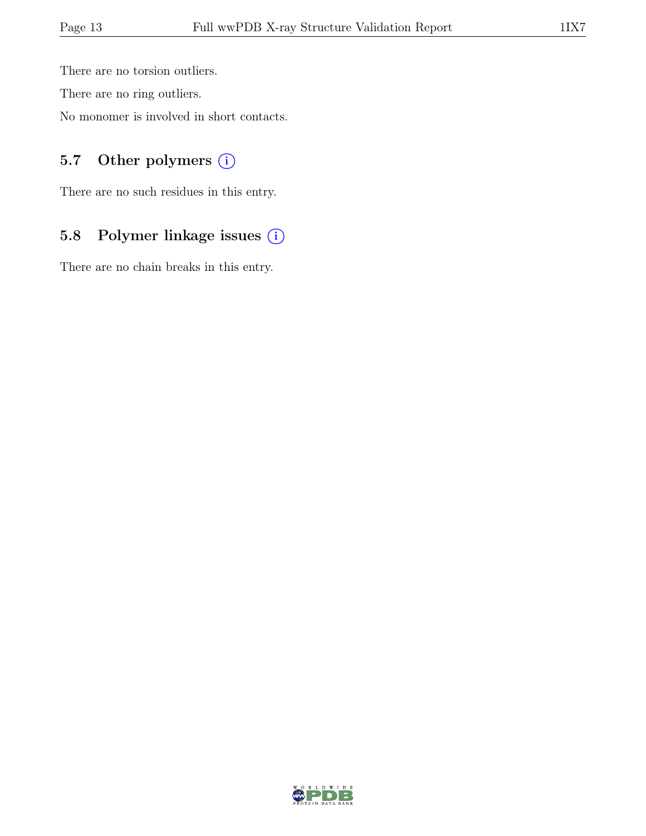There are no torsion outliers.

There are no ring outliers.

No monomer is involved in short contacts.

## 5.7 Other polymers (i)

There are no such residues in this entry.

# 5.8 Polymer linkage issues (i)

There are no chain breaks in this entry.